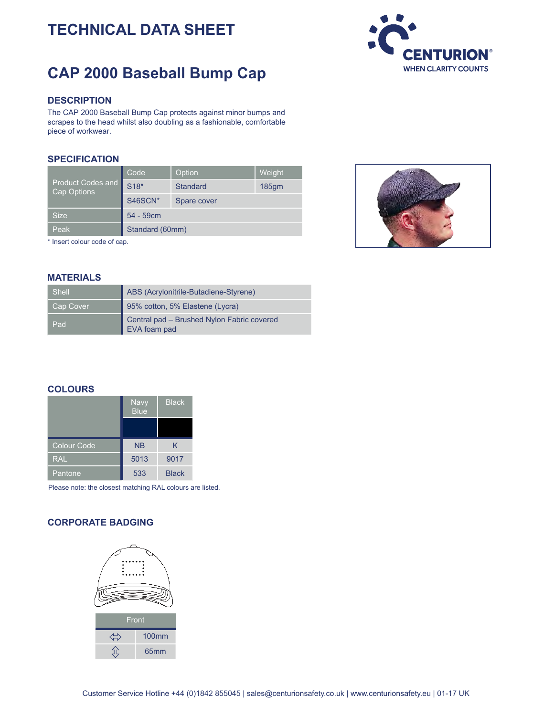# **TECHNICAL DATA SHEET**

# **CAP 2000 Baseball Bump Cap**



### **DESCRIPTION**

The CAP 2000 Baseball Bump Cap protects against minor bumps and scrapes to the head whilst also doubling as a fashionable, comfortable piece of workwear.

## **SPECIFICATION**

| Product Codes and<br>Cap Options | Code            | Option               | Weight |
|----------------------------------|-----------------|----------------------|--------|
|                                  | S18*            | Standard<br>$185$ gm |        |
|                                  | S46SCN*         | Spare cover          |        |
| <b>Size</b>                      | 54 - 59cm       |                      |        |
| Peak                             | Standard (60mm) |                      |        |

\* Insert colour code of cap.



| Shell     | ABS (Acrylonitrile-Butadiene-Styrene)                      |
|-----------|------------------------------------------------------------|
| Cap Cover | 95% cotton, 5% Elastene (Lycra)                            |
| Pad       | Central pad - Brushed Nylon Fabric covered<br>EVA foam pad |

#### **COLOURS**

|                    | <b>Navy</b><br><b>Blue</b> | <b>Black</b> |
|--------------------|----------------------------|--------------|
|                    |                            |              |
| <b>Colour Code</b> | <b>NB</b>                  | κ            |
| <b>RAL</b>         | 5013                       | 9017         |
| Pantone            | 533                        | <b>Black</b> |

Please note: the closest matching RAL colours are listed.

## **CORPORATE BADGING**